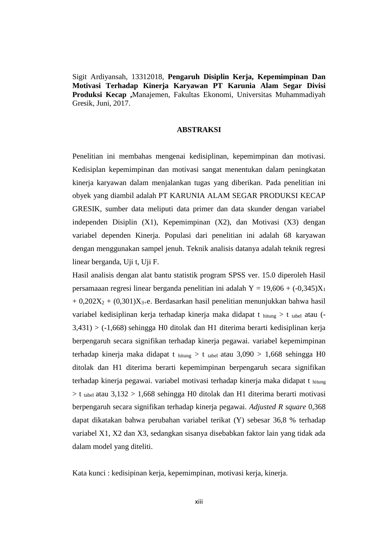Sigit Ardiyansah, 13312018, **Pengaruh Disiplin Kerja, Kepemimpinan Dan Motivasi Terhadap Kinerja Karyawan PT Karunia Alam Segar Divisi Produksi Kecap ,**Manajemen, Fakultas Ekonomi, Universitas Muhammadiyah Gresik, Juni, 2017.

## **ABSTRAKSI**

Penelitian ini membahas mengenai kedisiplinan, kepemimpinan dan motivasi. Kedisiplan kepemimpinan dan motivasi sangat menentukan dalam peningkatan kinerja karyawan dalam menjalankan tugas yang diberikan. Pada penelitian ini obyek yang diambil adalah PT KARUNIA ALAM SEGAR PRODUKSI KECAP GRESIK, sumber data meliputi data primer dan data skunder dengan variabel independen Disiplin (X1), Kepemimpinan (X2), dan Motivasi (X3) dengan variabel dependen Kinerja. Populasi dari penelitian ini adalah 68 karyawan dengan menggunakan sampel jenuh. Teknik analisis datanya adalah teknik regresi linear berganda, Uji t, Uji F.

Hasil analisis dengan alat bantu statistik program SPSS ver. 15.0 diperoleh Hasil persamaaan regresi linear berganda penelitian ini adalah  $Y = 19,606 + (-0,345)X_1$  $+ 0,202X_2 + (0,301)X_{3+}e$ . Berdasarkan hasil penelitian menunjukkan bahwa hasil variabel kedisiplinan kerja terhadap kinerja maka didapat t hitung > t tabel atau (- 3,431) > (-1,668) sehingga H0 ditolak dan H1 diterima berarti kedisiplinan kerja berpengaruh secara signifikan terhadap kinerja pegawai. variabel kepemimpinan terhadap kinerja maka didapat t hitung > t tabel atau 3,090 > 1,668 sehingga H0 ditolak dan H1 diterima berarti kepemimpinan berpengaruh secara signifikan terhadap kinerja pegawai. variabel motivasi terhadap kinerja maka didapat t hitung  $> t$  tabel atau 3,132  $> 1,668$  sehingga H0 ditolak dan H1 diterima berarti motivasi berpengaruh secara signifikan terhadap kinerja pegawai. *Adjusted R square* 0,368 dapat dikatakan bahwa perubahan variabel terikat (Y) sebesar 36,8 % terhadap variabel X1, X2 dan X3, sedangkan sisanya disebabkan faktor lain yang tidak ada dalam model yang diteliti.

Kata kunci : kedisipinan kerja, kepemimpinan, motivasi kerja, kinerja.